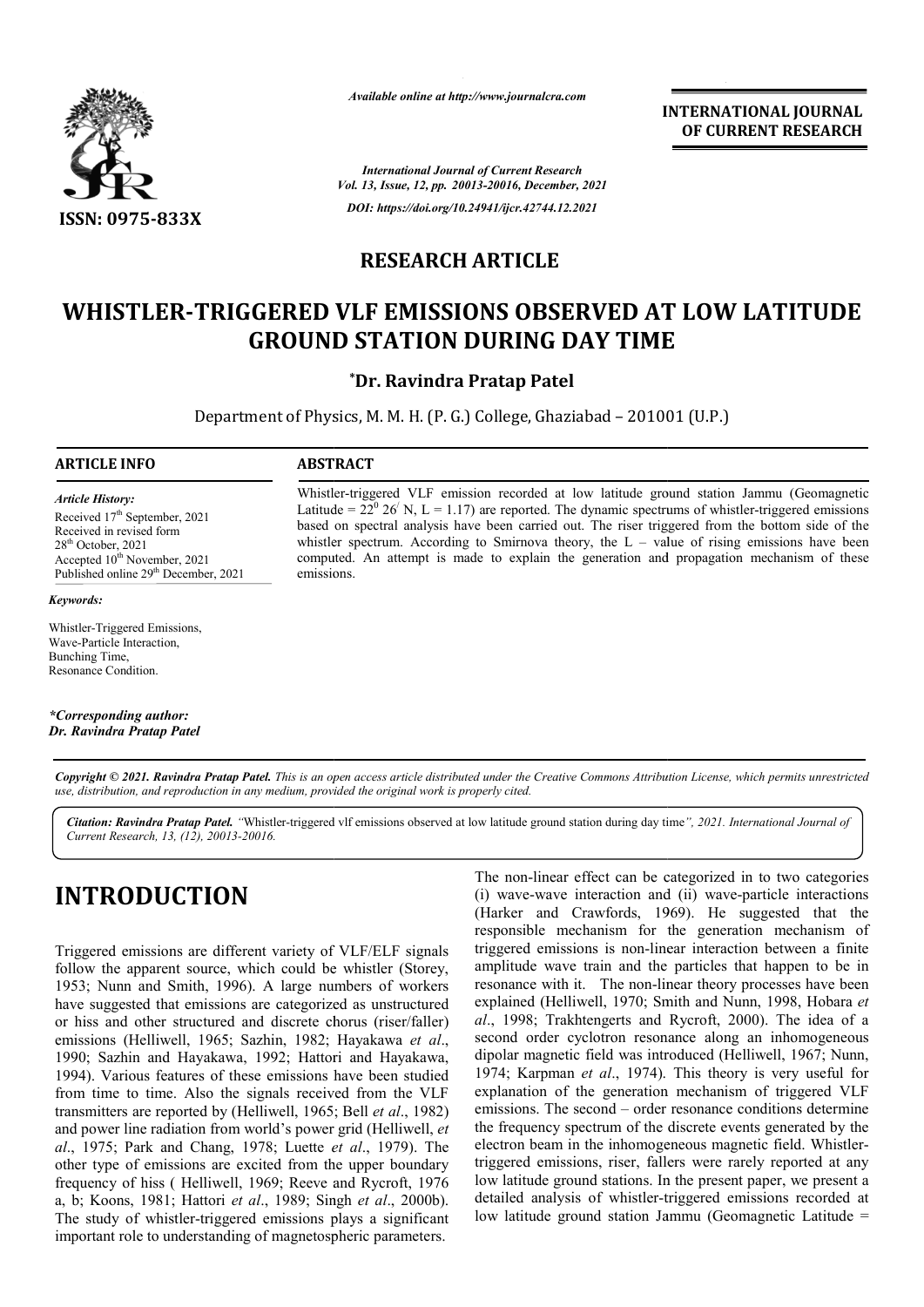

*Available online at http://www.journalcra.com*

**INTERNATIONAL JOURNAL OF CURRENT RESEARCH**

*International Journal of Current Research Vol. 13, Issue, 12, pp. 20013-20016, December, 2021 DOI: https://doi.org/10.24941/ijcr.42744.12.2021*

## **RESEARCH ARTICLE**

# WHISTLER-TRIGGERED VLF EMISSIONS OBSERVED AT LOW LATITUDE<br>GROUND STATION DURING DAY TIME<br><sup>\*Dr.</sup> Ravindra Pratap Patel **GROUND STATION DURING DAY TIME**

Department of Physics, M. M. H. (P. G.) College, Ghaziabad – 201001 (U.P.)

## **ARTICLE INFO ABSTRACT**

Received 17<sup>th</sup> September, 2021

 $28<sup>th</sup>$  October, 2021 Accepted  $10^{\text{th}}$  November, 2021 Published online 29<sup>th</sup> December, 2021

*Article History: Article History:*

*Keywords:*

Whistler-triggered VLF emission recorded at low latitude ground station Jammu (Geomagnetic Latitude =  $22^0$  26<sup> $\prime$ </sup> N, L = 1.17) are reported. The dynamic spectrums of whistler-triggered emissions based on spectral analysis have been carried out. The riser triggered from the bottom side of the whistler spectrum. According to Smirnova theory, the  $L -$  value of rising emissions have been computed. An attempt is made to explain the generation and propagation mechanism of these emissions. Available online at http://www.journalcra.com<br>
THERN.<br>
OF CU<br>
International Journal of Current Research<br>
Vol. 13, Issue, 12, pp. 20015-20016, December, 2021<br>
DOI: https://aol.org/10.24941/ijcr.42744.12.2021<br> **RESEARCH ARTI** based on spectral analysis have been carried out. The riser triggered from the bottom whistler spectrum. According to Smirnova theory, the  $L -$  value of rising emissions computed. An attempt is made to explain the generat

Whistler-Triggered Emissions, Wave-Particle Interaction, Bunching Time, Resonance Condition.

Received in revised form Received in revised form

*\*Corresponding author: Dr. Ravindra Pratap Patel*

Copyright © 2021. Ravindra Pratap Patel. This is an open access article distributed under the Creative Commons Attribution License, which permits unrestricted *use, distribution, and reproduction in any medium, provided the original work is properly cited.*

Citation: Ravindra Pratap Patel. "Whistler-triggered vlf emissions observed at low latitude ground station during day time", 2021. International Journal of *Current Research, 13, (12), 20013-20016.*

## **INTRODUCTION**

Triggered emissions are different variety of VLF/ELF signals follow the apparent source, which could be whistler (Storey, 1953; Nunn and Smith, 1996). A large numbers of workers have suggested that emissions are categorized as unstructured or hiss and other structured and discrete chorus (riser/faller) emissions (Helliwell, 1965; Sazhin, 1982; Hayakawa *et al*., 1990; Sazhin and Hayakawa, 1992; Hattori and Hayakawa, 1994). Various features of these emissions have been studied from time to time. Also the signals received from the VLF transmitters are reported by (Helliwell, 1965; Bell *et al*., 1982) and power line radiation from world's power grid (Helliwell, *et al*., 1975; Park and Chang, 1978; Luette *et al* ., 1979). The other type of emissions are excited from the upper boundary he frequency of hiss ( Helliwell, 1969; Reeve and Rycroft, 1976 a, b; Koons, 1981; Hattori *et al*., 1989; Singh *et al*., 2000b). The study of whistler-triggered emissions plays a significant The study of whistler-triggered emissions plays a significan<br>important role to understanding of magnetospheric parameters.

The non-linear effect can be categorized in to two categories The non-linear effect can be categorized in to two categories<br>(i) wave-wave interaction and (ii) wave-particle interactions (Harker and Crawfords, 1969). He suggested that the responsible mechanism for the generation mechanism of triggered emissions is non-linear interaction between a finite amplitude wave train and the particles that happen to be in resonance with it. The non-linear theory processes have been explained (Helliwell, 1970; Smith and Nunn, 1998, Hobara *et al*., 1998; Trakhtengerts and Rycroft, 2000). The idea of a second order cyclotron resonance along an inhomogeneous dipolar magnetic field was introduced (Helliwell, 1967; Nunn, 1974; Karpman *et al*., 1974). This theory is very useful for explanation of the generation mechanism of triggered VLF emissions. The second – order resonance conditions determine the frequency spectrum of the discrete events generated by the the frequency spectrum of the discrete events generated by the electron beam in the inhomogeneous magnetic field. Whistlertriggered emissions, riser, fallers were rarely reported at any low latitude ground stations. In the present paper, we present a detailed analysis of whistler-triggered emissions recorded at low latitude ground station Jammu (Geomagnetic Latitude = (Harker and Crawfords, 1969). He suggested that the responsible mechanism for the generation mechanism of triggered emissions is non-linear interaction between a finite amplitude wave train and the particles that happen to 98; Trakhtengerts and Rycroft, 2000). The idea of a order cyclotron resonance along an inhomogeneous magnetic field was introduced (Helliwell, 1967; Nunn, Karpman *et al.*, 1974). This theory is very useful for tion of th **LOW BEVEN AT SEAL CONSUM CONSUM CONSUM CONSUM CONSUM CONSUM CONSUM CONSUM ADSOMED ARTICLE CONSUM ADSOMED AT LOW LATITUDE URING DAY TIME THAT CONSUM ADSOME THE WAS CONSUMPTON THE WAS CONSUMPTON THE PARAMETER CONSUMPTON CON**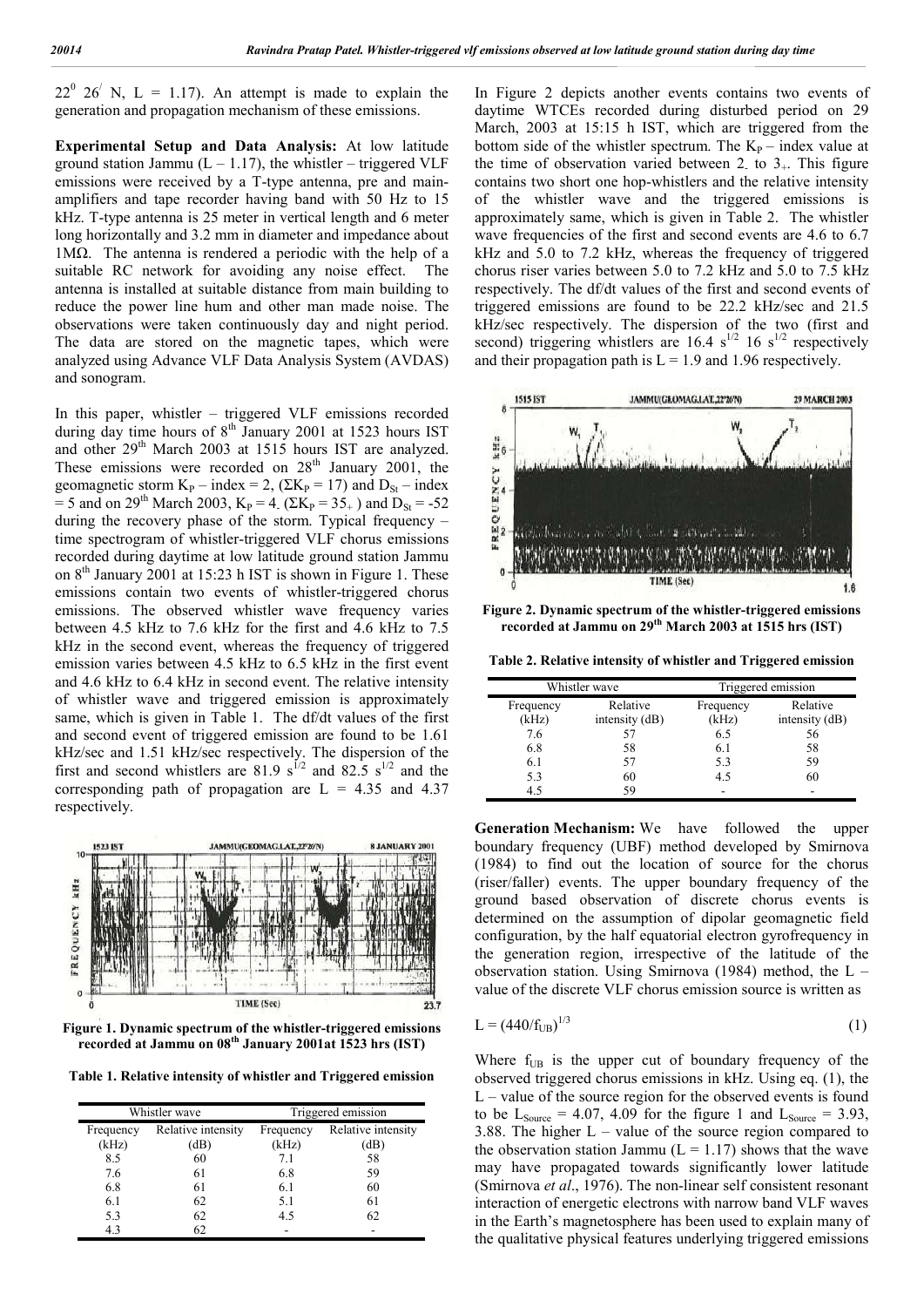$22^{\circ}$  26<sup> $\prime$ </sup> N, L = 1.17). An attempt is made to explain the generation and propagation mechanism of these emissions.

**Experimental Setup and Data Analysis:** At low latitude ground station Jammu ( $L - 1.17$ ), the whistler – triggered VLF emissions were received by a T-type antenna, pre and mainamplifiers and tape recorder having band with 50 Hz to 15 kHz. T-type antenna is 25 meter in vertical length and 6 meter long horizontally and 3.2 mm in diameter and impedance about 1MΩ. The antenna is rendered a periodic with the help of a suitable RC network for avoiding any noise effect. The antenna is installed at suitable distance from main building to reduce the power line hum and other man made noise. The observations were taken continuously day and night period. The data are stored on the magnetic tapes, which were analyzed using Advance VLF Data Analysis System (AVDAS) and sonogram.

In this paper, whistler – triggered VLF emissions recorded during day time hours of  $8<sup>th</sup>$  January 2001 at 1523 hours IST and other 29<sup>th</sup> March 2003 at 1515 hours IST are analyzed. These emissions were recorded on  $28<sup>th</sup>$  January 2001, the geomagnetic storm  $K_P$  – index = 2, ( $\Sigma K_P$  = 17) and  $D_{St}$  – index = 5 and on 29<sup>th</sup> March 2003, K<sub>P</sub> = 4. (ΣK<sub>P</sub> = 35<sub>+</sub>) and D<sub>St</sub> = -52 during the recovery phase of the storm. Typical frequency – time spectrogram of whistler-triggered VLF chorus emissions recorded during daytime at low latitude ground station Jammu on  $8<sup>th</sup>$  January 2001 at 15:23 h IST is shown in Figure 1. These emissions contain two events of whistler-triggered chorus emissions. The observed whistler wave frequency varies between 4.5 kHz to 7.6 kHz for the first and 4.6 kHz to 7.5 kHz in the second event, whereas the frequency of triggered emission varies between 4.5 kHz to 6.5 kHz in the first event and 4.6 kHz to 6.4 kHz in second event. The relative intensity of whistler wave and triggered emission is approximately same, which is given in Table 1. The df/dt values of the first and second event of triggered emission are found to be 1.61 kHz/sec and 1.51 kHz/sec respectively. The dispersion of the first and second whistlers are 81.9  $s^{1/2}$  and 82.5  $s^{1/2}$  and the corresponding path of propagation are  $L = 4.35$  and  $4.37$ respectively.



**Figure 1. Dynamic spectrum of the whistler-triggered emissions recorded at Jammu on 08th January 2001at 1523 hrs (IST)**

**Table 1. Relative intensity of whistler and Triggered emission**

| Whistler wave |                    | Triggered emission |                    |
|---------------|--------------------|--------------------|--------------------|
| Frequency     | Relative intensity | Frequency          | Relative intensity |
| (kHz)         | dB                 | (kHz)              | (dB)               |
| 8.5           | 60                 | 7.1                | 58                 |
| 7.6           | 61                 | 6.8                | 59                 |
| 6.8           | 61                 | 6.1                | 60                 |
| 6.1           | 62                 | 5.1                | 61                 |
| 5.3           | 62                 | 4.5                | 62                 |
| 4.3           |                    |                    |                    |

In Figure 2 depicts another events contains two events of daytime WTCEs recorded during disturbed period on 29 March, 2003 at 15:15 h IST, which are triggered from the bottom side of the whistler spectrum. The  $K_{P}$  – index value at the time of observation varied between 2<sub>-</sub> to  $3_{+}$ . This figure contains two short one hop-whistlers and the relative intensity of the whistler wave and the triggered emissions is approximately same, which is given in Table 2. The whistler wave frequencies of the first and second events are 4.6 to 6.7 kHz and 5.0 to 7.2 kHz, whereas the frequency of triggered chorus riser varies between 5.0 to 7.2 kHz and 5.0 to 7.5 kHz respectively. The df/dt values of the first and second events of triggered emissions are found to be 22.2 kHz/sec and 21.5 kHz/sec respectively. The dispersion of the two (first and second) triggering whistlers are  $16.4 \text{ s}^{1/2}$  16 s<sup>1/2</sup> respectively and their propagation path is  $L = 1.9$  and 1.96 respectively.



**Figure 2. Dynamic spectrum of the whistler-triggered emissions recorded at Jammu on 29th March 2003 at 1515 hrs (IST)**

**Table 2. Relative intensity of whistler and Triggered emission**

| Whistler wave |                | Triggered emission |                  |
|---------------|----------------|--------------------|------------------|
| Frequency     | Relative       | Frequency          | Relative         |
| (kHz)         | intensity (dB) | (kHz)              | intensity $(dB)$ |
| 7.6           | 57             | 6.5                | 56               |
| 6.8           | 58             | 6.1                | 58               |
| 6.1           | 57             | 5.3                | 59               |
| 5.3           | 60             | 4.5                | 60               |
| 4.5           | 59             |                    |                  |

**Generation Mechanism:** We have followed the upper boundary frequency (UBF) method developed by Smirnova (1984) to find out the location of source for the chorus (riser/faller) events. The upper boundary frequency of the ground based observation of discrete chorus events is determined on the assumption of dipolar geomagnetic field configuration, by the half equatorial electron gyrofrequency in the generation region, irrespective of the latitude of the observation station. Using Smirnova (1984) method, the L – value of the discrete VLF chorus emission source is written as

$$
L = (440/f_{UB})^{1/3} \tag{1}
$$

Where  $f_{UB}$  is the upper cut of boundary frequency of the observed triggered chorus emissions in kHz. Using eq. (1), the  $L$  – value of the source region for the observed events is found to be  $L_{\text{Source}} = 4.07, 4.09$  for the figure 1 and  $L_{\text{Source}} = 3.93$ , 3.88. The higher  $L -$  value of the source region compared to the observation station Jammu  $(L = 1.17)$  shows that the wave may have propagated towards significantly lower latitude (Smirnova *et al*., 1976). The non-linear self consistent resonant interaction of energetic electrons with narrow band VLF waves in the Earth's magnetosphere has been used to explain many of the qualitative physical features underlying triggered emissions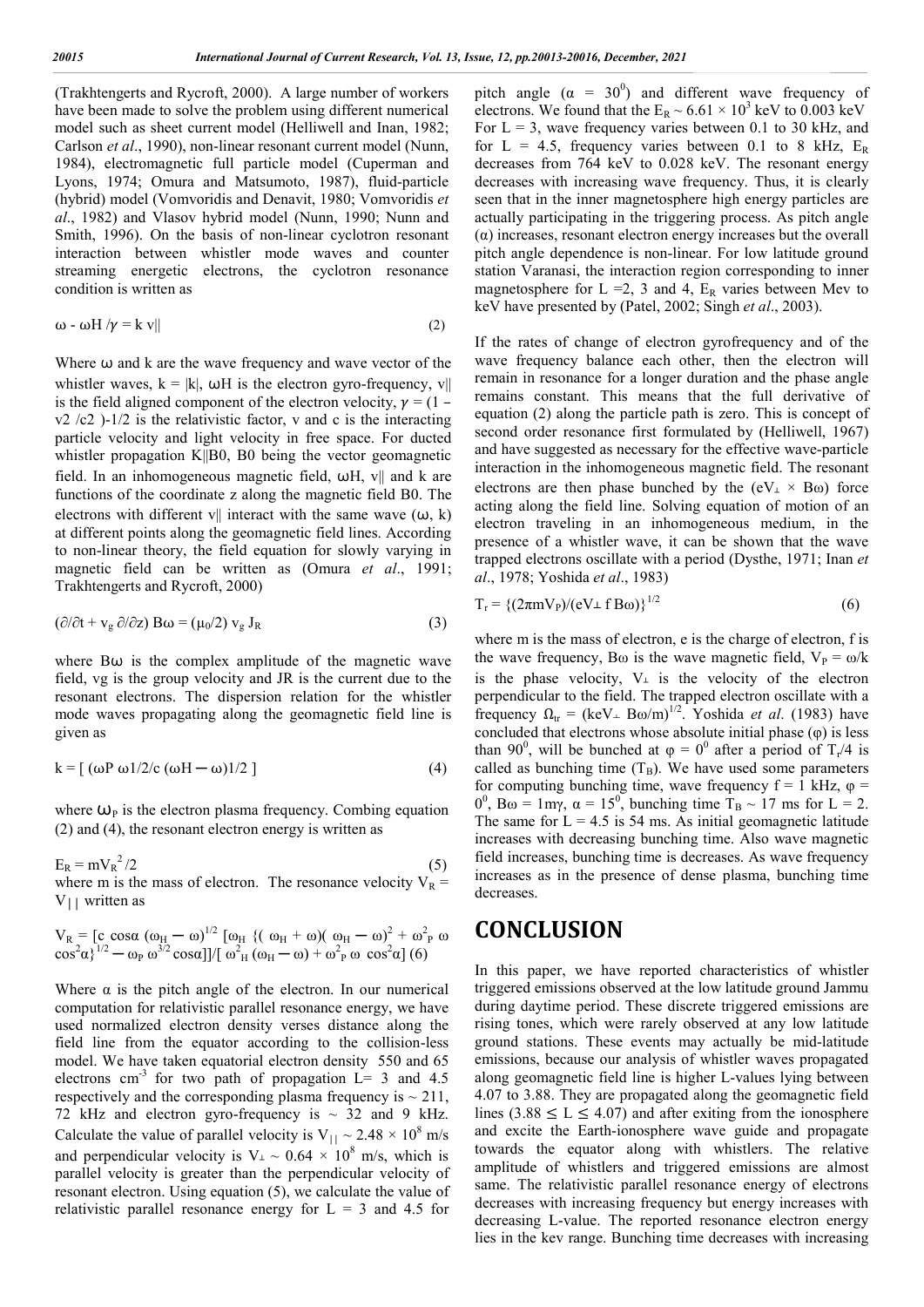(Trakhtengerts and Rycroft, 2000). A large number of workers have been made to solve the problem using different numerical model such as sheet current model (Helliwell and Inan, 1982; Carlson *et al*., 1990), non-linear resonant current model (Nunn, 1984), electromagnetic full particle model (Cuperman and Lyons, 1974; Omura and Matsumoto, 1987), fluid-particle (hybrid) model (Vomvoridis and Denavit, 1980; Vomvoridis *et al*., 1982) and Vlasov hybrid model (Nunn, 1990; Nunn and Smith, 1996). On the basis of non-linear cyclotron resonant interaction between whistler mode waves and counter streaming energetic electrons, the cyclotron resonance condition is written as

$$
\omega - \omega H / \gamma = k v || \tag{2}
$$

Where  $\omega$  and  $k$  are the wave frequency and wave vector of the whistler waves,  $k = |k|$ ,  $\omega H$  is the electron gyro-frequency, v|| is the field aligned component of the electron velocity,  $\gamma = (1$  $v2 /c2$ )-1/2 is the relativistic factor, v and c is the interacting particle velocity and light velocity in free space. For ducted whistler propagation K||B0, B0 being the vector geomagnetic field. In an inhomogeneous magnetic field,  $\omega$ H, v|| and k are functions of the coordinate z along the magnetic field B0. The electrons with different v|| interact with the same wave  $(\omega, k)$ at different points along the geomagnetic field lines. According to non-linear theory, the field equation for slowly varying in magnetic field can be written as (Omura *et al*., 1991; Trakhtengerts and Rycroft, 2000)

$$
(\partial/\partial t + v_g \partial/\partial z) B\omega = (\mu_0/2) v_g J_R
$$
 (3)

where  $B\omega$  is the complex amplitude of the magnetic wave field, vg is the group velocity and JR is the current due to the resonant electrons. The dispersion relation for the whistler mode waves propagating along the geomagnetic field line is given as

$$
k = [ (\omega P \omega 1/2/c (\omega H - \omega) 1/2 ] \tag{4}
$$

where  $\omega_{\rm P}$  is the electron plasma frequency. Combing equation (2) and (4), the resonant electron energy is written as

 $E_R = mV_R^2/2$  $^{2}/2$  (5) where m is the mass of electron. The resonance velocity  $V_R$  =

$$
V_R = [c \cos\alpha (\omega_H - \omega)^{1/2} [\omega_H \{ (\omega_H + \omega) (\omega_H - \omega)^2 + \omega^2 \} \omega \cos^2\alpha \}^{1/2} - \omega_P \omega^{3/2} \cos\alpha ]]/[\omega^2_H (\omega_H - \omega) + \omega^2_P \omega \cos^2\alpha] (6)
$$

 $V_{\perp}$  written as

Where  $\alpha$  is the pitch angle of the electron. In our numerical computation for relativistic parallel resonance energy, we have used normalized electron density verses distance along the field line from the equator according to the collision-less model. We have taken equatorial electron density 550 and 65 electrons  $cm^{-3}$  for two path of propagation  $L=$  3 and 4.5 respectively and the corresponding plasma frequency is  $\sim$  211, 72 kHz and electron gyro-frequency is  $\sim$  32 and 9 kHz. Calculate the value of parallel velocity is  $V_{||} \sim 2.48 \times 10^8$  m/s and perpendicular velocity is  $V_+ \sim 0.64 \times 10^8$  m/s, which is parallel velocity is greater than the perpendicular velocity of resonant electron. Using equation (5), we calculate the value of relativistic parallel resonance energy for  $L = 3$  and 4.5 for

pitch angle  $(\alpha = 30^0)$  and different wave frequency of electrons. We found that the  $E_R \sim 6.61 \times 10^3$  keV to 0.003 keV For  $L = 3$ , wave frequency varies between 0.1 to 30 kHz, and for L = 4.5, frequency varies between 0.1 to 8 kHz,  $E_R$ decreases from 764 keV to 0.028 keV. The resonant energy decreases with increasing wave frequency. Thus, it is clearly seen that in the inner magnetosphere high energy particles are actually participating in the triggering process. As pitch angle  $(\alpha)$  increases, resonant electron energy increases but the overall pitch angle dependence is non-linear. For low latitude ground station Varanasi, the interaction region corresponding to inner magnetosphere for  $L = 2$ , 3 and 4,  $E_R$  varies between Mev to keV have presented by (Patel, 2002; Singh *et al*., 2003).

If the rates of change of electron gyrofrequency and of the wave frequency balance each other, then the electron will remain in resonance for a longer duration and the phase angle remains constant. This means that the full derivative of equation (2) along the particle path is zero. This is concept of second order resonance first formulated by (Helliwell, 1967) and have suggested as necessary for the effective wave-particle interaction in the inhomogeneous magnetic field. The resonant electrons are then phase bunched by the  $(eV_+ \times B\omega)$  force acting along the field line. Solving equation of motion of an electron traveling in an inhomogeneous medium, in the presence of a whistler wave, it can be shown that the wave trapped electrons oscillate with a period (Dysthe, 1971; Inan *et al*., 1978; Yoshida *et al*., 1983)

$$
T_r = \left\{ \frac{2\pi m V_P}{(eV \perp f B\omega)} \right\}^{1/2} \tag{6}
$$

where m is the mass of electron, e is the charge of electron, f is the wave frequency, B $\omega$  is the wave magnetic field,  $V_P = \omega/k$ is the phase velocity,  $V_{\perp}$  is the velocity of the electron perpendicular to the field. The trapped electron oscillate with a frequency  $\Omega_{tr} = (keV_{\perp} B\omega/m)^{1/2}$ . Yoshida *et al.* (1983) have concluded that electrons whose absolute initial phase (φ) is less than 90<sup>0</sup>, will be bunched at  $\varphi = 0^0$  after a period of T<sub>r</sub>/4 is called as bunching time  $(T_B)$ . We have used some parameters for computing bunching time, wave frequency  $f = 1$  kHz,  $\varphi =$  $0^0$ , B $\omega$  = 1my,  $\alpha$  = 15<sup>0</sup>, bunching time T<sub>B</sub> ~ 17 ms for L = 2. The same for  $L = 4.5$  is 54 ms. As initial geomagnetic latitude increases with decreasing bunching time. Also wave magnetic field increases, bunching time is decreases. As wave frequency increases as in the presence of dense plasma, bunching time decreases.

## **CONCLUSION**

In this paper, we have reported characteristics of whistler triggered emissions observed at the low latitude ground Jammu during daytime period. These discrete triggered emissions are rising tones, which were rarely observed at any low latitude ground stations. These events may actually be mid-latitude emissions, because our analysis of whistler waves propagated along geomagnetic field line is higher L-values lying between 4.07 to 3.88. They are propagated along the geomagnetic field lines  $(3.88 \le L \le 4.07)$  and after exiting from the ionosphere and excite the Earth-ionosphere wave guide and propagate towards the equator along with whistlers. The relative amplitude of whistlers and triggered emissions are almost same. The relativistic parallel resonance energy of electrons decreases with increasing frequency but energy increases with decreasing L-value. The reported resonance electron energy lies in the kev range. Bunching time decreases with increasing